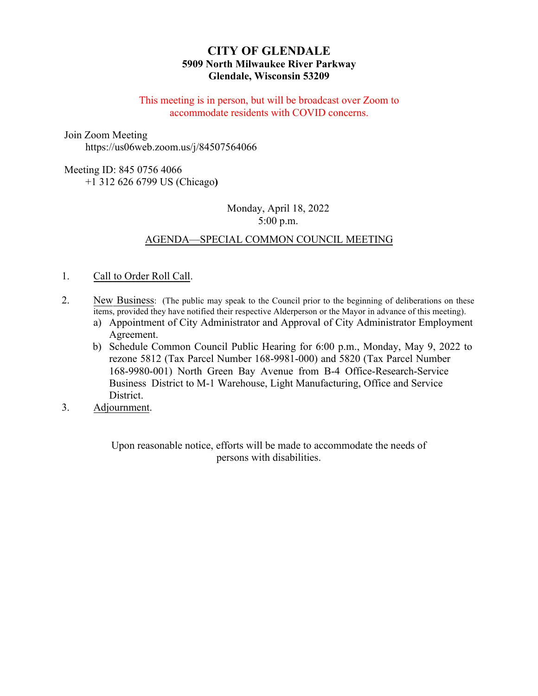# **CITY OF GLENDALE 5909 North Milwaukee River Parkway Glendale, Wisconsin 53209**

This meeting is in person, but will be broadcast over Zoom to accommodate residents with COVID concerns.

Join Zoom Meeting

https://us06web.zoom.us/j/84507564066

## Meeting ID: 845 0756 4066

+1 312 626 6799 US (Chicago**)**

# Monday, April 18, 2022 5:00 p.m.

# A[GENDA—SPECIAL COMMON COUNCIL MEETING](#page-1-0)

### 1. Call to [Order Roll Call.](#page-2-0)

- 2. New Business: (The public may speak to the Council prior to the beginning of deliberations on these items, provided they have notified their respective Alderperson or the Mayor in advance of this meeting).
	- a) Appointment of City Administrator and Approval of City Administrator Employment Agreement.
	- b) Schedule Common Council Public Hearing for 6:00 p.m., Monday, May 9, 2022 to rezone 5812 (Tax Parcel Number 168-9981-000) and 5820 (Tax Parcel Number 168-9980-001) North Green Bay Avenue from B-4 Office-Research-Service Business District to M-1 Warehouse, Light Manufacturing, Office and Service District.
- 3. Adjournment.

Upon reasonable notice, efforts will be made to accommodate the needs of persons with disabilities.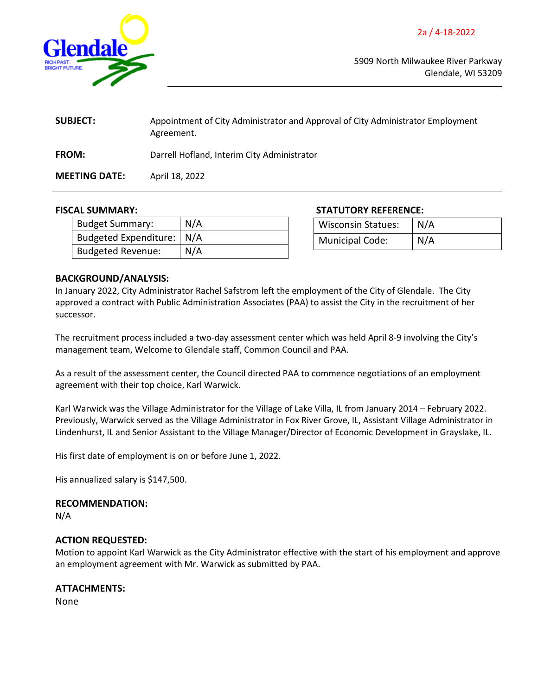<span id="page-1-0"></span>

5909 North Milwaukee River Parkway Glendale, WI 53209

| <b>SUBJECT:</b>      | Appointment of City Administrator and Approval of City Administrator Employment<br>Agreement. |  |
|----------------------|-----------------------------------------------------------------------------------------------|--|
| <b>FROM:</b>         | Darrell Hofland, Interim City Administrator                                                   |  |
| <b>MEETING DATE:</b> | April 18, 2022                                                                                |  |

| Budget Summary:             | N/A |
|-----------------------------|-----|
| Budgeted Expenditure:   N/A |     |
| Budgeted Revenue:           | N/A |

**FISCAL SUMMARY: STATUTORY REFERENCE:**

| <b>Wisconsin Statues:</b> | N/A |
|---------------------------|-----|
| Municipal Code:           | N/A |

### **BACKGROUND/ANALYSIS:**

In January 2022, City Administrator Rachel Safstrom left the employment of the City of Glendale. The City approved a contract with Public Administration Associates (PAA) to assist the City in the recruitment of her successor.

The recruitment process included a two-day assessment center which was held April 8-9 involving the City's management team, Welcome to Glendale staff, Common Council and PAA.

As a result of the assessment center, the Council directed PAA to commence negotiations of an employment agreement with their top choice, Karl Warwick.

Karl Warwick was the Village Administrator for the Village of Lake Villa, IL from January 2014 – February 2022. Previously, Warwick served as the Village Administrator in Fox River Grove, IL, Assistant Village Administrator in Lindenhurst, IL and Senior Assistant to the Village Manager/Director of Economic Development in Grayslake, IL.

His first date of employment is on or before June 1, 2022.

His annualized salary is \$147,500.

#### **RECOMMENDATION:**

N/A

### **ACTION REQUESTED:**

Motion to appoint Karl Warwick as the City Administrator effective with the start of his employment and approve an employment agreement with Mr. Warwick as submitted by PAA.

### **ATTACHMENTS:**

None